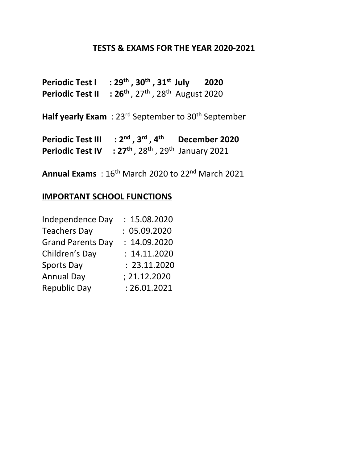## **TESTS & EXAMS FOR THE YEAR 2020-2021**

| <b>Periodic Test I</b>  | : $29^{th}$ , $30^{th}$ , $31^{st}$ July        | 2020 |
|-------------------------|-------------------------------------------------|------|
| <b>Periodic Test II</b> | : $26^{th}$ , $27^{th}$ , $28^{th}$ August 2020 |      |

Half yearly Exam : 23<sup>rd</sup> September to 30<sup>th</sup> September

**Periodic Test III : 2nd , 3rd , 4th December 2020 Periodic Test IV : 27<sup>th</sup>, 28<sup>th</sup>, 29<sup>th</sup> January 2021** 

**Annual Exams** : 16th March 2020 to 22 nd March 2021

## **IMPORTANT SCHOOL FUNCTIONS**

| Independence Day         | : 15.08.2020 |
|--------------------------|--------------|
| <b>Teachers Day</b>      | : 05.09.2020 |
| <b>Grand Parents Day</b> | : 14.09.2020 |
| Children's Day           | : 14.11.2020 |
| <b>Sports Day</b>        | : 23.11.2020 |
| <b>Annual Day</b>        | ; 21.12.2020 |
| <b>Republic Day</b>      | : 26.01.2021 |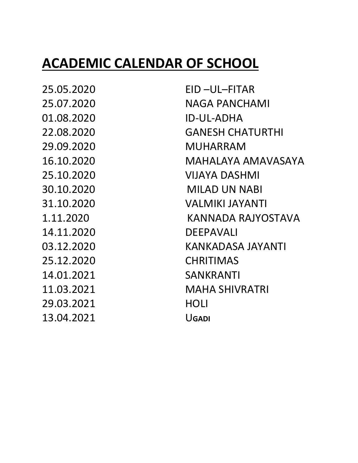## **ACADEMIC CALENDAR OF SCHOOL**

01.08.2020 ID-UL-ADHA 14.11.2020 DEEPAVALI 25.12.2020 CHRITIMAS 14.01.2021 SANKRANTI 29.03.2021 HOLI 13.04.2021 U**GADI**

25.05.2020 EID –UL–FITAR 25.07.2020 NAGA PANCHAMI 22.08.2020 GANESH CHATURTHI 29.09.2020 MUHARRAM 16.10.2020 MAHALAYA AMAVASAYA 25.10.2020 VIJAYA DASHMI 30.10.2020 MILAD UN NABI 31.10.2020 VALMIKI JAYANTI 1.11.2020 KANNADA RAJYOSTAVA 03.12.2020 KANKADASA JAYANTI 11.03.2021 MAHA SHIVRATRI